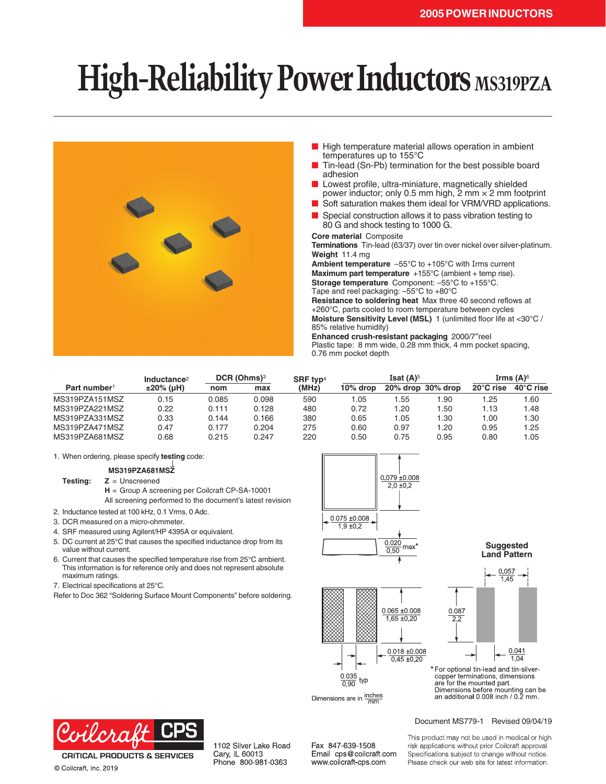## **High-Reliability Power Inductors MS319PZA**



- High temperature material allows operation in ambient temperatures up to 155°C
- Tin-lead (Sn-Pb) termination for the best possible board adhesion
- Lowest profile, ultra-miniature, magnetically shielded power inductor; only 0.5 mm high, 2 mm × 2 mm footprint
- Soft saturation makes them ideal for VRM/VRD applications.
- Special construction allows it to pass vibration testing to 80 G and shock testing to 1000 G.

## **Core material** Composite

**Terminations** Tin-lead (63/37) over tin over nickel over silver-platinum. **Weight** 11.4 mg

**Ambient temperature** –55°C to +105°C with Irms current **Maximum part temperature** +155°C (ambient + temp rise). **Storage temperature** Component: –55°C to +155°C.

Tape and reel packaging: –55°C to +80°C

**Resistance to soldering heat** Max three 40 second reflows at +260°C, parts cooled to room temperature between cycles **Moisture Sensitivity Level (MSL)** 1 (unlimited floor life at <30°C / 85% relative humidity)

**Enhanced crush-resistant packaging** 2000/7″reel Plastic tape: 8 mm wide, 0.28 mm thick, 4 mm pocket spacing, 0.76 mm pocket depth

| Part number <sup>1</sup> | Inductance $2$<br>$±20\%$ (µH) | DCR (Ohms) <sup>3</sup> |       | SRF typ <sup>4</sup> | Isat $(A)$ <sup>5</sup> |      |                   | Irms $(A)$ <sup>6</sup> |                     |
|--------------------------|--------------------------------|-------------------------|-------|----------------------|-------------------------|------|-------------------|-------------------------|---------------------|
|                          |                                | nom                     | max   | (MHz)                | 10% drop                |      | 20% drop 30% drop | $20^{\circ}$ C rise     | $40^{\circ}$ C rise |
| MS319PZA151MSZ           | 0.15                           | 0.085                   | 0.098 | 590                  | 1.05                    | .55  | .90               | l.25                    | 1.60                |
| MS319PZA221MSZ           | 0.22                           | 0.111                   | 0.128 | 480                  | 0.72                    | .20  | 1.50              | 1.13                    | 1.48                |
| MS319PZA331MSZ           | 0.33                           | 0.144                   | 0.166 | 380                  | 0.65                    | l.05 | 1.30              | 00. ا                   | 1.30                |
| MS319PZA471MSZ           | 0.47                           | 0.177                   | 0.204 | 275                  | 0.60                    | 0.97 | 1.20              | 0.95                    | 1.25                |
| MS319PZA681MSZ           | 0.68                           | 0.215                   | 0.247 | 220                  | 0.50                    | 0.75 | 0.95              | 0.80                    | 1.05                |

1. When ordering, please specify **testing** code:

**MS319PZA681MSZ**

**Testing: Z** = Unscreened

**H** = Group A screening per Coilcraft CP-SA-10001 All screening performed to the document's latest revision

- 2. Inductance tested at 100 kHz, 0.1 Vrms, 0 Adc.
- 3. DCR measured on a micro-ohmmeter.
- 4. SRF measured using Agilent/HP 4395A or equivalent.
- 5. DC current at 25°C that causes the specified inductance drop from its value without current.
- 6. Current that causes the specified temperature rise from 25°C ambient. This information is for reference only and does not represent absolute maximum ratings.
- 7. Electrical specifications at 25°C.
- Refer to Doc 362 "Soldering Surface Mount Components" before soldering.







**Recommended Suggested Land Pattern Land Pattern**

\* For optional tin-lead and tin-silvercopper terminations, dimensions are for the mounted part. Dimensions before mounting can be<br>an additional 0.008 inch / 0.2 mm.

cilcra

**CRITICAL PRODUCTS & SERVICES** © Coilcraft, Inc. 2019

1102 Silver Lake Road Cary, IL 60013 Phone 800-981-0363

Fax 847-639-1508 Email cps@coilcraft.com www.coilcraft-cps.com

Dimensions are in  $\frac{\text{inches}}{\text{mm}}$ 

Document MS779-1 Revised 09/04/19

This product may not be used in medical or high risk applications without prior Coilcraft approval. Specifications subject to change without notice. Please check our web site for latest information.